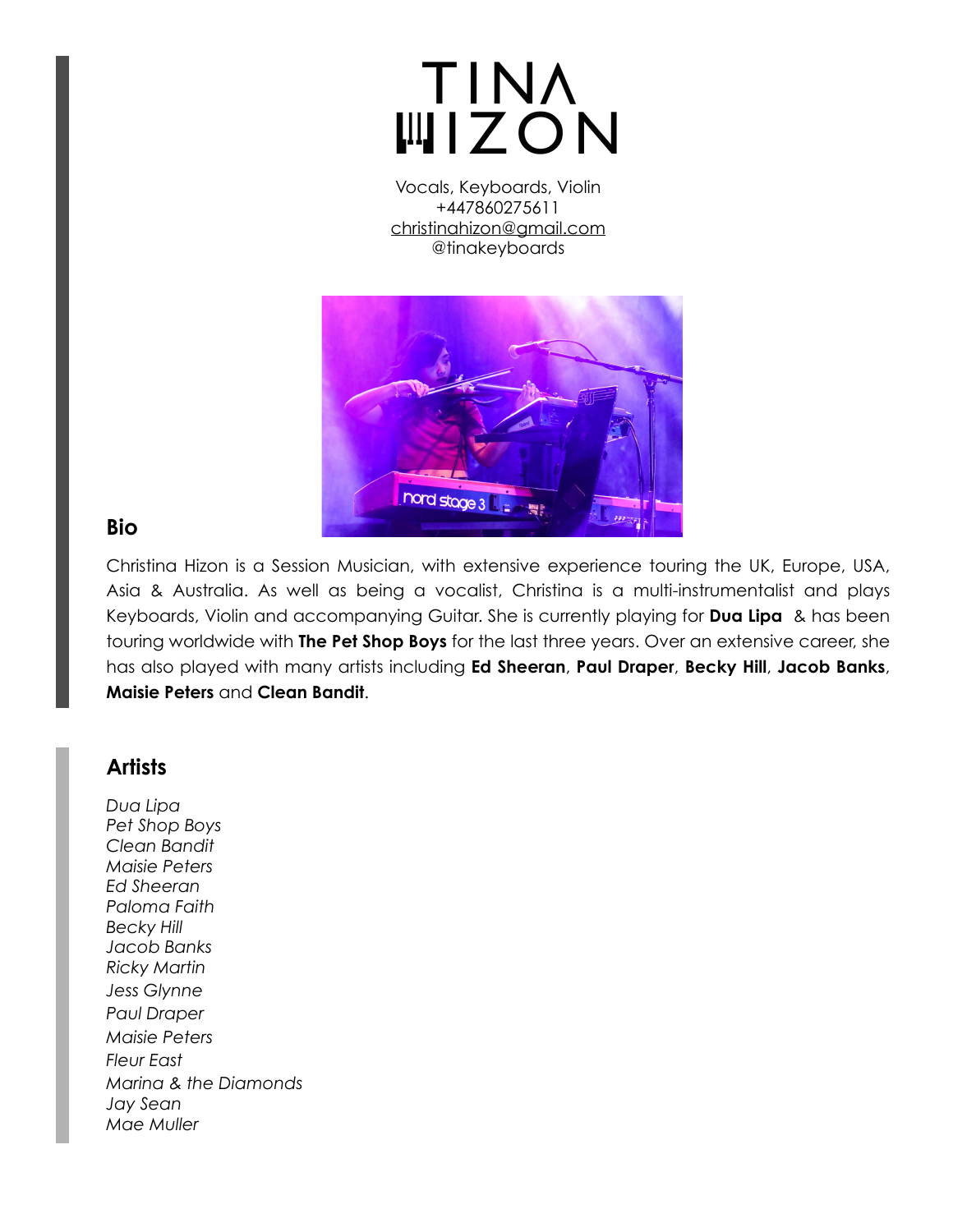# **TINA WIZON**

Vocals, Keyboards, Violin +447860275611 [christinahizon@gmail.com](mailto:christinahizon@gmail.com) @tinakeyboards



#### **Bio**

Christina Hizon is a Session Musician, with extensive experience touring the UK, Europe, USA, Asia & Australia. As well as being a vocalist, Christina is a multi-instrumentalist and plays Keyboards, Violin and accompanying Guitar. She is currently playing for **Dua Lipa** & has been touring worldwide with **The Pet Shop Boys** for the last three years. Over an extensive career, she has also played with many artists including **Ed Sheeran**, **Paul Draper**, **Becky Hill**, **Jacob Banks**, **Maisie Peters** and **Clean Bandit**.

### **Artists**

*Dua Lipa Pet Shop Boys Clean Bandit Maisie Peters Ed Sheeran Paloma Faith Becky Hill Jacob Banks Ricky Martin Jess Glynne Paul Draper Maisie Peters Fleur East Marina & the Diamonds Jay Sean Mae Muller*